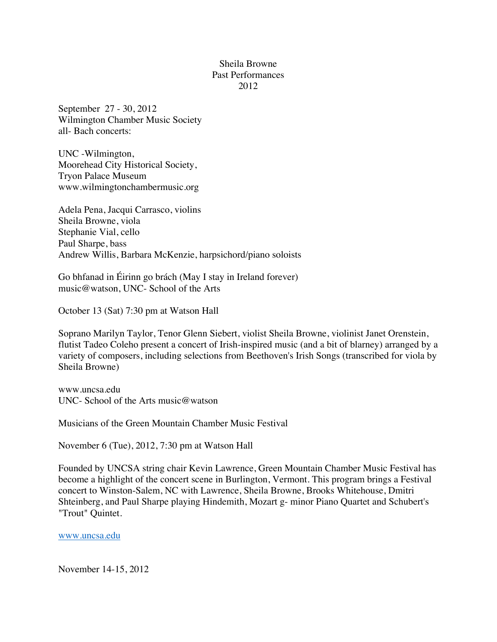## Sheila Browne Past Performances 2012

September 27 - 30, 2012 Wilmington Chamber Music Society all- Bach concerts:

UNC -Wilmington, Moorehead City Historical Society, Tryon Palace Museum www.wilmingtonchambermusic.org

Adela Pena, Jacqui Carrasco, violins Sheila Browne, viola Stephanie Vial, cello Paul Sharpe, bass Andrew Willis, Barbara McKenzie, harpsichord/piano soloists

Go bhfanad in Éirinn go brách (May I stay in Ireland forever) music@watson, UNC- School of the Arts

October 13 (Sat) 7:30 pm at Watson Hall

Soprano Marilyn Taylor, Tenor Glenn Siebert, violist Sheila Browne, violinist Janet Orenstein, flutist Tadeo Coleho present a concert of Irish-inspired music (and a bit of blarney) arranged by a variety of composers, including selections from Beethoven's Irish Songs (transcribed for viola by Sheila Browne)

www.uncsa.edu UNC- School of the Arts music@watson

Musicians of the Green Mountain Chamber Music Festival

November 6 (Tue), 2012, 7:30 pm at Watson Hall

Founded by UNCSA string chair Kevin Lawrence, Green Mountain Chamber Music Festival has become a highlight of the concert scene in Burlington, Vermont. This program brings a Festival concert to Winston-Salem, NC with Lawrence, Sheila Browne, Brooks Whitehouse, Dmitri Shteinberg, and Paul Sharpe playing Hindemith, Mozart g- minor Piano Quartet and Schubert's "Trout" Quintet.

www.uncsa.edu

November 14-15, 2012